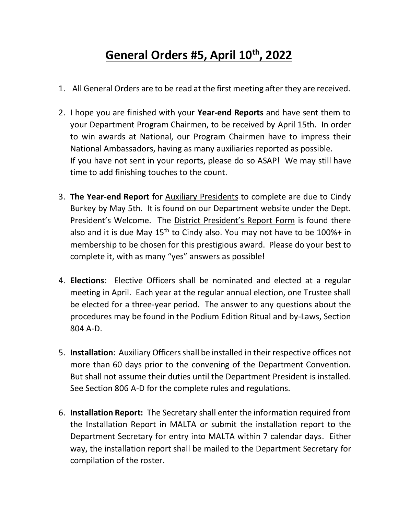## **General Orders #5, April 10th, 2022**

- 1. All General Orders are to be read at the first meeting after they are received.
- 2. I hope you are finished with your **Year-end Reports** and have sent them to your Department Program Chairmen, to be received by April 15th. In order to win awards at National, our Program Chairmen have to impress their National Ambassadors, having as many auxiliaries reported as possible. If you have not sent in your reports, please do so ASAP! We may still have time to add finishing touches to the count.
- 3. **The Year-end Report** for Auxiliary Presidents to complete are due to Cindy Burkey by May 5th. It is found on our Department website under the Dept. President's Welcome. The District President's Report Form is found there also and it is due May  $15<sup>th</sup>$  to Cindy also. You may not have to be 100%+ in membership to be chosen for this prestigious award. Please do your best to complete it, with as many "yes" answers as possible!
- 4. **Elections**: Elective Officers shall be nominated and elected at a regular meeting in April. Each year at the regular annual election, one Trustee shall be elected for a three-year period. The answer to any questions about the procedures may be found in the Podium Edition Ritual and by-Laws, Section 804 A-D.
- 5. **Installation**: Auxiliary Officers shall be installed in their respective offices not more than 60 days prior to the convening of the Department Convention. But shall not assume their duties until the Department President is installed. See Section 806 A-D for the complete rules and regulations.
- 6. **Installation Report:** The Secretary shall enter the information required from the Installation Report in MALTA or submit the installation report to the Department Secretary for entry into MALTA within 7 calendar days. Either way, the installation report shall be mailed to the Department Secretary for compilation of the roster.